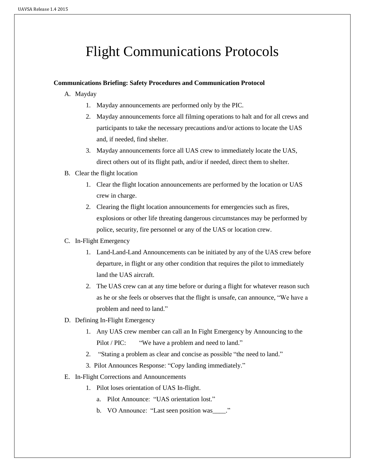# Flight Communications Protocols

## **Communications Briefing: Safety Procedures and Communication Protocol**

- A. Mayday
	- 1. Mayday announcements are performed only by the PIC.
	- 2. Mayday announcements force all filming operations to halt and for all crews and participants to take the necessary precautions and/or actions to locate the UAS and, if needed, find shelter.
	- 3. Mayday announcements force all UAS crew to immediately locate the UAS, direct others out of its flight path, and/or if needed, direct them to shelter.
- B. Clear the flight location
	- 1. Clear the flight location announcements are performed by the location or UAS crew in charge.
	- 2. Clearing the flight location announcements for emergencies such as fires, explosions or other life threating dangerous circumstances may be performed by police, security, fire personnel or any of the UAS or location crew.

## C. In-Flight Emergency

- 1. Land-Land-Land Announcements can be initiated by any of the UAS crew before departure, in flight or any other condition that requires the pilot to immediately land the UAS aircraft.
- 2. The UAS crew can at any time before or during a flight for whatever reason such as he or she feels or observes that the flight is unsafe, can announce, "We have a problem and need to land."
- D. Defining In-Flight Emergency
	- 1. Any UAS crew member can call an In Fight Emergency by Announcing to the Pilot / PIC: "We have a problem and need to land."
	- 2. "Stating a problem as clear and concise as possible "the need to land."
	- 3. Pilot Announces Response: "Copy landing immediately."
- E. In-Flight Corrections and Announcements
	- 1. Pilot loses orientation of UAS In-flight.
		- a. Pilot Announce: "UAS orientation lost."
		- b. VO Announce: "Last seen position was ..."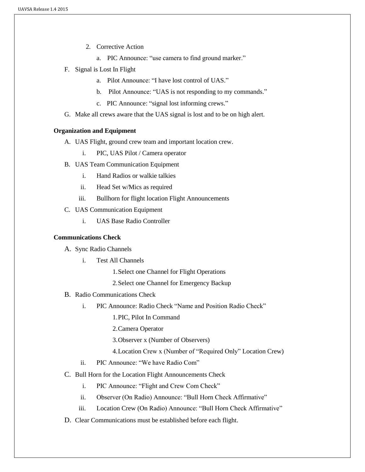- 2. Corrective Action
	- a. PIC Announce: "use camera to find ground marker."
- F. Signal is Lost In Flight
	- a. Pilot Announce: "I have lost control of UAS."
	- b. Pilot Announce: "UAS is not responding to my commands."
	- c. PIC Announce: "signal lost informing crews."
- G. Make all crews aware that the UAS signal is lost and to be on high alert.

### **Organization and Equipment**

- A. UAS Flight, ground crew team and important location crew.
	- i. PIC, UAS Pilot / Camera operator
- B. UAS Team Communication Equipment
	- i. Hand Radios or walkie talkies
	- ii. Head Set w/Mics as required
	- iii. Bullhorn for flight location Flight Announcements
- C. UAS Communication Equipment
	- i. UAS Base Radio Controller

#### **Communications Check**

A. Sync Radio Channels

- i. Test All Channels
	- 1.Select one Channel for Flight Operations
	- 2.Select one Channel for Emergency Backup
- B. Radio Communications Check
	- i. PIC Announce: Radio Check "Name and Position Radio Check"
		- 1.PIC, Pilot In Command
		- 2.Camera Operator
		- 3.Observer x (Number of Observers)
		- 4.Location Crew x (Number of "Required Only" Location Crew)
	- ii. PIC Announce: "We have Radio Com"
- C. Bull Horn for the Location Flight Announcements Check
	- i. PIC Announce: "Flight and Crew Com Check"
	- ii. Observer (On Radio) Announce: "Bull Horn Check Affirmative"
	- iii. Location Crew (On Radio) Announce: "Bull Horn Check Affirmative"
- D. Clear Communications must be established before each flight.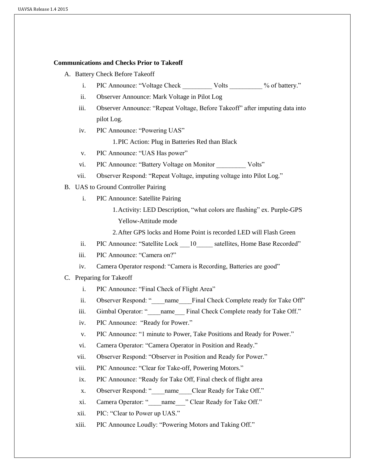#### **Communications and Checks Prior to Takeoff**

- A. Battery Check Before Takeoff
	- i. PIC Announce: "Voltage Check Volts \_\_\_\_\_\_\_\_ % of battery."
	- ii. Observer Announce: Mark Voltage in Pilot Log
	- iii. Observer Announce: "Repeat Voltage, Before Takeoff" after imputing data into pilot Log.
	- iv. PIC Announce: "Powering UAS"

1.PIC Action: Plug in Batteries Red than Black

- v. PIC Announce: "UAS Has power"
- vi. PIC Announce: "Battery Voltage on Monitor Volts"
- vii. Observer Respond: "Repeat Voltage, imputing voltage into Pilot Log."
- B. UAS to Ground Controller Pairing
	- i. PIC Announce: Satellite Pairing
		- 1.Activity: LED Description, "what colors are flashing" ex. Purple-GPS Yellow-Attitude mode
		- 2.After GPS locks and Home Point is recorded LED will Flash Green
	- ii. PIC Announce: "Satellite Lock 10 satellites, Home Base Recorded"
	- iii. PIC Announce: "Camera on?"
	- iv. Camera Operator respond: "Camera is Recording, Batteries are good"
- C. Preparing for Takeoff
	- i. PIC Announce: "Final Check of Flight Area"
	- ii. Observer Respond: "\_\_\_\_name\_\_\_\_Final Check Complete ready for Take Off"
	- iii. Gimbal Operator: "\_\_\_\_\_\_\_ name\_\_\_\_ Final Check Complete ready for Take Off."
	- iv. PIC Announce: "Ready for Power."
	- v. PIC Announce: "1 minute to Power, Take Positions and Ready for Power."
	- vi. Camera Operator: "Camera Operator in Position and Ready."
	- vii. Observer Respond: "Observer in Position and Ready for Power."
	- viii. PIC Announce: "Clear for Take-off, Powering Motors."
	- ix. PIC Announce: "Ready for Take Off, Final check of flight area
	- x. Observer Respond: "\_\_\_\_name \_\_\_\_Clear Ready for Take Off."
	- xi. Camera Operator: "\_\_\_\_\_name\_\_\_" Clear Ready for Take Off."
	- xii. PIC: "Clear to Power up UAS."
	- xiii. PIC Announce Loudly: "Powering Motors and Taking Off."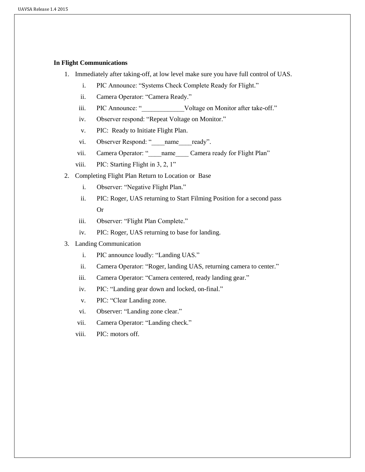#### **In Flight Communications**

- 1. Immediately after taking-off, at low level make sure you have full control of UAS.
	- i. PIC Announce: "Systems Check Complete Ready for Flight."
	- ii. Camera Operator: "Camera Ready."
	- iii. PIC Announce: " Woltage on Monitor after take-off."
	- iv. Observer respond: "Repeat Voltage on Monitor."
	- v. PIC: Ready to Initiate Flight Plan.
	- vi. Observer Respond: "\_\_\_\_name\_\_\_\_ready".
	- vii. Camera Operator: " \_\_\_\_name \_\_\_\_ Camera ready for Flight Plan"
	- viii. PIC: Starting Flight in 3, 2, 1"
- 2. Completing Flight Plan Return to Location or Base
	- i. Observer: "Negative Flight Plan."
	- ii. PIC: Roger, UAS returning to Start Filming Position for a second pass Or
	- iii. Observer: "Flight Plan Complete."
	- iv. PIC: Roger, UAS returning to base for landing.
- 3. Landing Communication
	- i. PIC announce loudly: "Landing UAS."
	- ii. Camera Operator: "Roger, landing UAS, returning camera to center."
	- iii. Camera Operator: "Camera centered, ready landing gear."
	- iv. PIC: "Landing gear down and locked, on-final."
	- v. PIC: "Clear Landing zone.
	- vi. Observer: "Landing zone clear."
	- vii. Camera Operator: "Landing check."
	- viii. PIC: motors off.